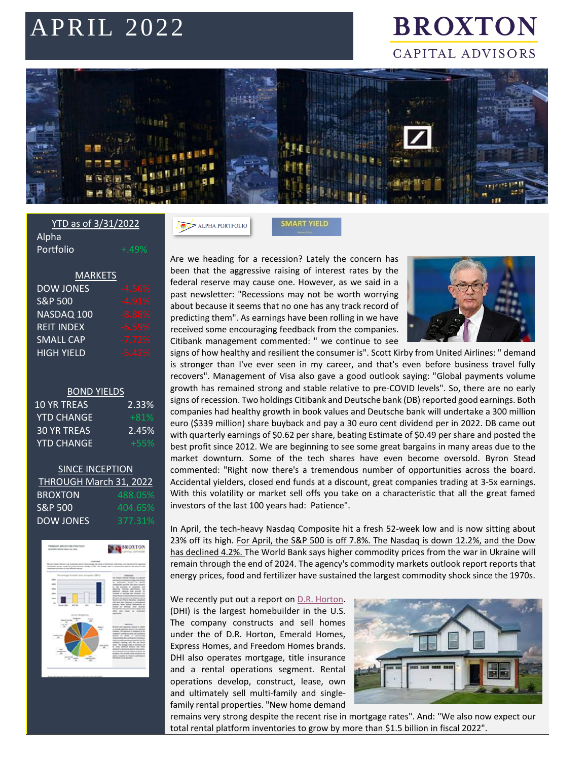# APRIL 2022

## **BROXTON** CAPITAL ADVISORS



**SMART YIELD** 

#### YTD as of 3/31/2022 Alpha Portfolio

| <b>MARKETS</b>     |          |
|--------------------|----------|
| <b>DOW JONES</b>   | $-4.56%$ |
| <b>S&amp;P 500</b> | $-4.91%$ |
| NASDAQ 100         | $-8.88%$ |
| <b>REIT INDEX</b>  | $-6.59%$ |
| <b>SMALL CAP</b>   | $-7.72%$ |
| <b>HIGH YIELD</b>  | $-5.42%$ |

#### BOND YIELDS

| 2.33%  |
|--------|
| $+81%$ |
| 2.45%  |
| $+55%$ |
|        |

#### **SINCE INCEPTION** THROUGH March 31, 2022 **BROXTON** 488.05 S&P 500 404.65% DOW JONES 377.31%



Are we heading for a recession? Lately the concern has been that the aggressive raising of interest rates by the federal reserve may cause one. However, as we said in a past newsletter: "Recessions may not be worth worrying about because it seems that no one has any track record of predicting them". As earnings have been rolling in we have received some encouraging feedback from the companies. Citibank management commented: " we continue to see

ALPHA PORTFOLIO



signs of how healthy and resilient the consumer is". Scott Kirby from United Airlines: " demand is stronger than I've ever seen in my career, and that's even before business travel fully recovers". Management of Visa also gave a good outlook saying: "Global payments volume growth has remained strong and stable relative to pre-COVID levels". So, there are no early signs of recession. Two holdings Citibank and Deutsche bank (DB) reported good earnings. Both companies had healthy growth in book values and Deutsche bank will undertake a 300 million euro (\$339 million) share buyback and pay a 30 euro cent dividend per in 2022. DB came out with quarterly earnings of \$0.62 per share, beating Estimate of \$0.49 per share and posted the best profit since 2012. We are beginning to see some great bargains in many areas due to the market downturn. Some of the tech shares have even become oversold. Byron Stead commented: "Right now there's a tremendous number of opportunities across the board. Accidental yielders, closed end funds at a discount, great companies trading at 3-5x earnings. With this volatility or market sell offs you take on a characteristic that all the great famed investors of the last 100 years had: Patience".

In April, the tech-heavy Nasdaq Composite hit a fresh 52-week low and is now sitting about 23% off its high. For April, the S&P 500 is off 7.8%. The Nasdaq is down 12.2%, and the Dow has declined 4.2%. The World Bank says higher commodity prices from the war in Ukraine will remain through the end of 2024. The agency's commodity markets outlook report reports that energy prices, food and fertilizer have sustained the largest commodity shock since the 1970s.

We recently put out a report o[n D.R. Horton.](https://www.broxtoncapital.com/library) (DHI) is the largest homebuilder in the U.S. The company constructs and sell homes under the of D.R. Horton, Emerald Homes, Express Homes, and Freedom Homes brands. DHI also operates mortgage, title insurance and a rental operations segment. Rental operations develop, construct, lease, own and ultimately sell multi-family and singlefamily rental properties. "New home demand



remains very strong despite the recent rise in mortgage rates". And: "We also now expect our total rental platform inventories to grow by more than \$1.5 billion in fiscal 2022".